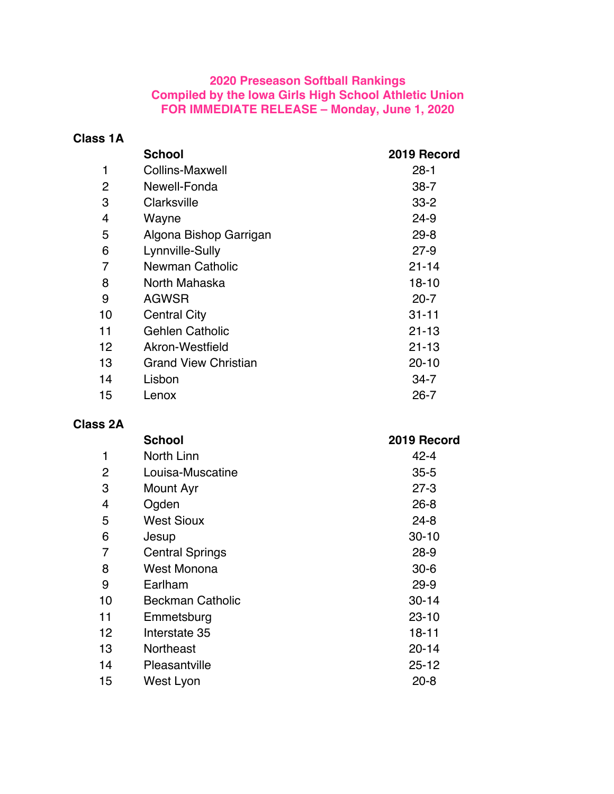## **2020 Preseason Softball Rankings Compiled by the Iowa Girls High School Athletic Union FOR IMMEDIATE RELEASE – Monday, June 1, 2020**

## **Class 1A**

|    | <b>School</b>               | 2019 Record |
|----|-----------------------------|-------------|
|    | <b>Collins-Maxwell</b>      | $28 - 1$    |
| 2  | Newell-Fonda                | $38 - 7$    |
| 3  | Clarksville                 | $33 - 2$    |
| 4  | Wayne                       | $24 - 9$    |
| 5  | Algona Bishop Garrigan      | $29 - 8$    |
| 6  | Lynnville-Sully             | $27-9$      |
| 7  | <b>Newman Catholic</b>      | $21 - 14$   |
| 8  | North Mahaska               | $18 - 10$   |
| 9  | <b>AGWSR</b>                | $20 - 7$    |
| 10 | <b>Central City</b>         | $31 - 11$   |
| 11 | <b>Gehlen Catholic</b>      | $21 - 13$   |
| 12 | Akron-Westfield             | $21 - 13$   |
| 13 | <b>Grand View Christian</b> | $20 - 10$   |
| 14 | Lisbon                      | $34 - 7$    |
| 15 | Lenox                       | $26 - 7$    |
|    |                             |             |

## **Class 2A**

|                | <b>School</b>           | 2019 Record |
|----------------|-------------------------|-------------|
| 1              | North Linn              | $42 - 4$    |
| $\overline{2}$ | Louisa-Muscatine        | $35 - 5$    |
| 3              | Mount Ayr               | $27 - 3$    |
| 4              | Ogden                   | $26 - 8$    |
| 5              | <b>West Sioux</b>       | $24 - 8$    |
| 6              | Jesup                   | $30 - 10$   |
| 7              | <b>Central Springs</b>  | $28 - 9$    |
| 8              | West Monona             | $30 - 6$    |
| 9              | Earlham                 | $29 - 9$    |
| 10             | <b>Beckman Catholic</b> | $30 - 14$   |
| 11             | Emmetsburg              | $23 - 10$   |
| 12             | Interstate 35           | $18 - 11$   |
| 13             | <b>Northeast</b>        | $20 - 14$   |
| 14             | Pleasantville           | $25 - 12$   |
| 15             | West Lyon               | $20 - 8$    |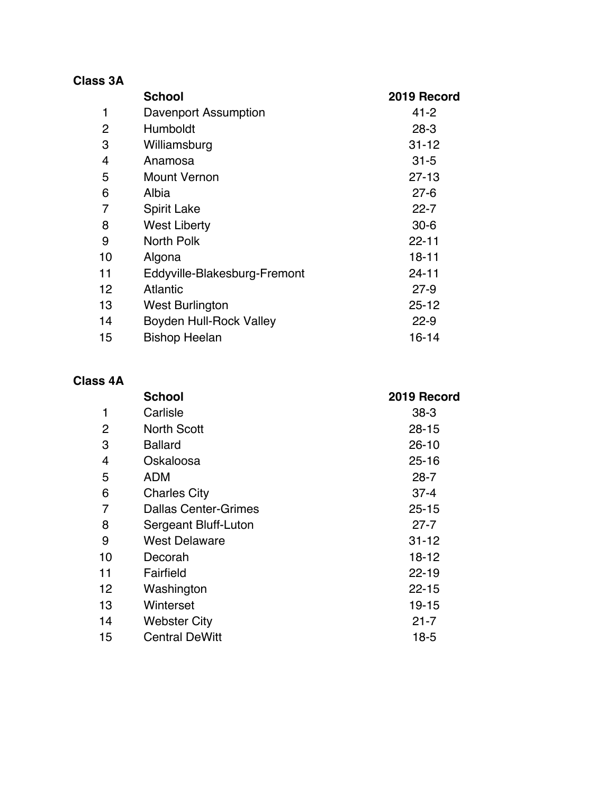| <b>Class 3A</b> |                                |             |
|-----------------|--------------------------------|-------------|
|                 | <b>School</b>                  | 2019 Record |
| 1               | Davenport Assumption           | $41 - 2$    |
| $\overline{c}$  | Humboldt                       | $28-3$      |
| 3               | Williamsburg                   | $31 - 12$   |
| 4               | Anamosa                        | $31 - 5$    |
| 5               | <b>Mount Vernon</b>            | $27 - 13$   |
| 6               | Albia                          | $27 - 6$    |
| 7               | <b>Spirit Lake</b>             | $22 - 7$    |
| 8               | <b>West Liberty</b>            | $30 - 6$    |
| 9               | North Polk                     | $22 - 11$   |
| 10              | Algona                         | 18-11       |
| 11              | Eddyville-Blakesburg-Fremont   | $24 - 11$   |
| 12 <sup>2</sup> | <b>Atlantic</b>                | $27-9$      |
| 13              | <b>West Burlington</b>         | $25 - 12$   |
| 14              | <b>Boyden Hull-Rock Valley</b> | $22 - 9$    |
| 15              | <b>Bishop Heelan</b>           | $16 - 14$   |

## **Class 4A**

|    | <b>School</b>               | 2019 Record |
|----|-----------------------------|-------------|
| 1  | Carlisle                    | $38-3$      |
| 2  | <b>North Scott</b>          | $28 - 15$   |
| 3  | <b>Ballard</b>              | $26 - 10$   |
| 4  | Oskaloosa                   | $25 - 16$   |
| 5  | <b>ADM</b>                  | $28 - 7$    |
| 6  | <b>Charles City</b>         | $37 - 4$    |
| 7  | <b>Dallas Center-Grimes</b> | $25 - 15$   |
| 8  | Sergeant Bluff-Luton        | $27 - 7$    |
| 9  | West Delaware               | $31 - 12$   |
| 10 | Decorah                     | 18-12       |
| 11 | Fairfield                   | $22 - 19$   |
| 12 | Washington                  | $22 - 15$   |
| 13 | Winterset                   | 19-15       |
| 14 | <b>Webster City</b>         | $21 - 7$    |
| 15 | <b>Central DeWitt</b>       | $18-5$      |